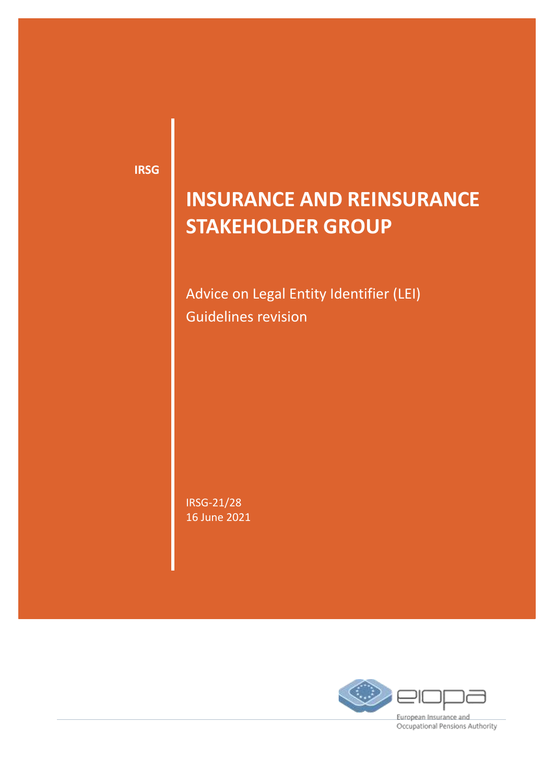**IRSG**

# **INSURANCE AND REINSURANCE STAKEHOLDER GROUP**

Advice on Legal Entity Identifier (LEI) Guidelines revision

IRSG-21/28 16 June 2021



Occupational Pensions Authority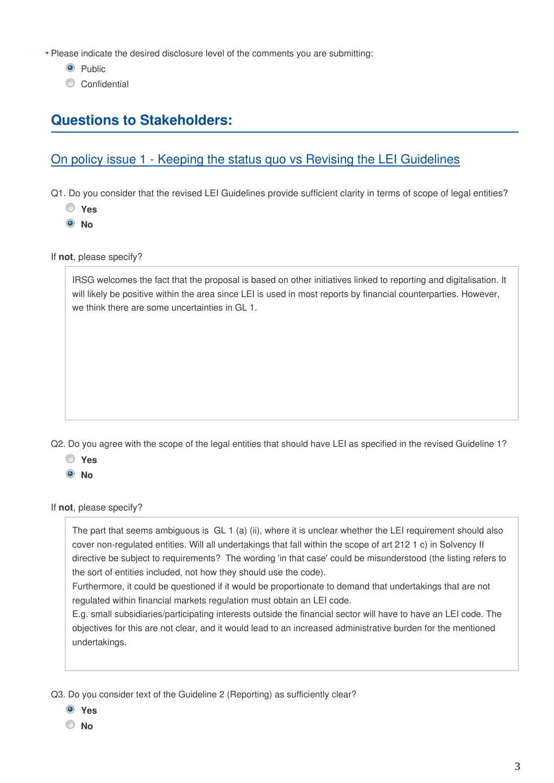Please indicate the desired disclosure level of the comments you are submitting: **\***

- <sup>O</sup> Public
- Confidential

## **Questions to Stakeholders:**

## On policy issue 1 - Keeping the status quo vs Revising the LEI Guidelines

Q1. Do you consider that the revised LEI Guidelines provide sufficient clarity in terms of scope of legal entities?

- **Yes**
- **No**

If **not**, please specify?

IRSG welcomes the fact that the proposal is based on other initiatives linked to reporting and digitalisation. It will likely be positive within the area since LEI is used in most reports by financial counterparties. However, we think there are some uncertainties in GL 1.

Q2. Do you agree with the scope of the legal entities that should have LEI as specified in the revised Guideline 1?

- **Yes**
- **No**

If **not**, please specify?

The part that seems ambiguous is GL 1 (a) (ii), where it is unclear whether the LEI requirement should also cover non-regulated entities. Will all undertakings that fall within the scope of art 212 1 c) in Solvency II directive be subject to requirements? The wording 'in that case' could be misunderstood (the listing refers to the sort of entities included, not how they should use the code).

Furthermore, it could be questioned if it would be proportionate to demand that undertakings that are not regulated within financial markets regulation must obtain an LEI code.

E.g. small subsidiaries/participating interests outside the financial sector will have to have an LEI code. The objectives for this are not clear, and it would lead to an increased administrative burden for the mentioned undertakings.

Q3. Do you consider text of the Guideline 2 (Reporting) as sufficiently clear?

- **Yes**
- **No**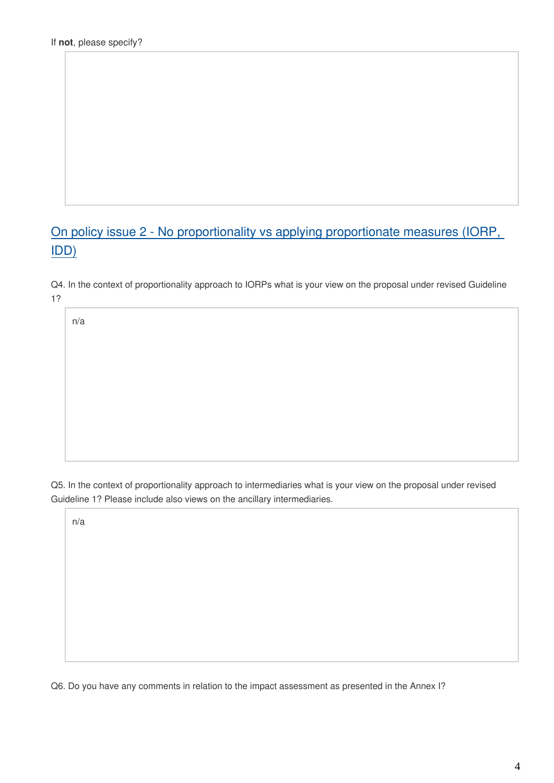# On policy issue 2 - No proportionality vs applying proportionate measures (IORP, IDD)

Q4. In the context of proportionality approach to IORPs what is your view on the proposal under revised Guideline 1?

n/a

Q5. In the context of proportionality approach to intermediaries what is your view on the proposal under revised Guideline 1? Please include also views on the ancillary intermediaries.

n/a

Q6. Do you have any comments in relation to the impact assessment as presented in the Annex I?